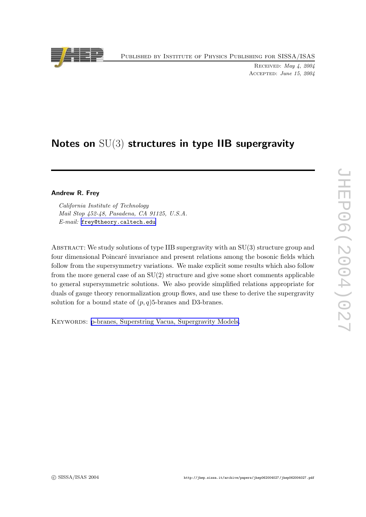Published by Institute of Physics Publishing for SISSA/ISAS



Received: May 4, 2004 Accepted: June 15, 2004

# Notes on  $SU(3)$  structures in type IIB supergravity

## Andrew R. Frey

California Institute of Technology Mail Stop 452-48, Pasadena, CA 91125, U.S.A. E-mail: [frey@theory.caltech.edu](mailto:frey@theory.caltech.edu)

ABSTRACT: We study solutions of type IIB supergravity with an SU(3) structure group and four dimensional Poincaré invariance and present relations among the bosonic fields which follow from the supersymmetry variations. We make explicit some results which also follow from the more general case of an SU(2) structure and giv e some short comments applicable to general supersymmetric solutions. We also provide simplified relations appropriate for duals of gauge theory renormalization group flows, and use these to derive the supergravity solution for a bound state of  $(p, q)$ 5-branes and D3-branes.

KEYWORDS: p-branes, Superstring Vacua, [Supergravit](http://jhep.sissa.it/stdsearch?keywords=p-branes+Superstring_Vacua+Supergravity_Models)y Models.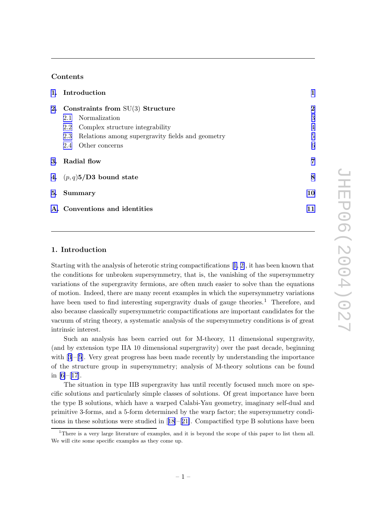# Contents

| 1. Introduction                                         | 1                |
|---------------------------------------------------------|------------------|
| 2. Constraints from $SU(3)$ Structure                   | $\boldsymbol{2}$ |
| 2.1 Normalization                                       | 3                |
| 2.2 Complex structure integrability                     | $\overline{4}$   |
| Relations among supergravity fields and geometry<br>2.3 | $\overline{5}$   |
| Other concerns<br>2.4                                   | 6                |
| 3. Radial flow                                          | 7                |
| 4. $(p,q)5/D3$ bound state                              | 8                |
| 5. Summary                                              | 10               |
| A. Conventions and identities                           | 11               |

# 1. Introduction

Starting with the analysis of heterotic string compactifications [[1](#page-12-0) , [2\]](#page-12-0), it has been known that the conditions for unbroken supersymmetry , that is, the vanishing of the supersymmetry variations of the supergravit y fermions, are often muc h easier to solv e than the equations of motion. Indeed, there are man y recen t examples in whic h the supersymmetry variations have been used to find interesting supergravity duals of gauge theories.<sup>1</sup> Therefore, and also because classically supersymmetric compactifications are importan t candidates for the vacuum of string theory , a systematic analysis of the supersymmetry conditions is of great intrinsic interest.

Such an analysis has been carried out for M-theory, 11 dimensional supergravity, (and b y extension typ e IIA 10 dimensional supergravity) o ver the past decade, beginning with [[3](#page-12-0)]–[[5](#page-12-0)]. Very great progress has been made recently by understanding the importance of the structure group in supersymmetry; analysis of M-theory solutions can b e found in [\[6\]](#page-12-0)–[[17\]](#page-12-0).

The situation in typ e IIB supergravit y has until recently focused muc h more on specific solutions and particularly simple classes of solutions. Of great importance have been the typ e B solutions, whic h hav e a warped Calabi-Yau geometry , imaginary self-dual and primitiv e 3-forms, and a 5-form determined b y the warp factor; the supersymmetry conditions in these solutions were studied in [[18](#page-13-0)]–[[21\]](#page-13-0). Compactified type B solutions have been

<sup>1</sup>There is a very large literature of examples, and it is beyond the scope of this paper to list them all. We will cite some specific examples as they come up.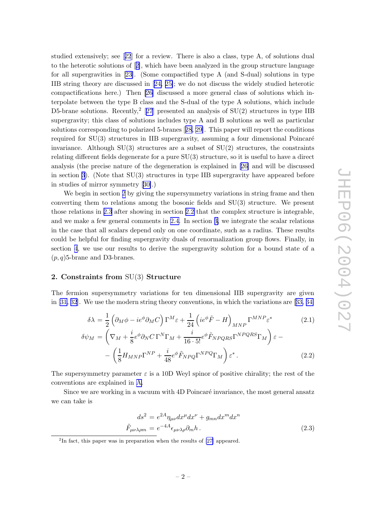<span id="page-2-0"></span>studied extensively; see [[22](#page-13-0)] for a review. There is also a class, type A, of solutions dual to the heterotic solutions of [[2\]](#page-12-0), whic h hav e been analyzed in the group structure language for all supergravities in [[23\]](#page-13-0). (Some compactified type A (and S-dual) solutions in type IIB string theory are discussed in [[24](#page-13-0) , [25\]](#page-13-0); w e do not discuss the widely studied heterotic compactifications here.) Then [\[26](#page-13-0) ] discussed a more general class of solutions whic h interpolate between the type B class and the S-dual of the type A solutions, which include D5-brane solutions. Recently,  $2$  [[27](#page-13-0)] presented an analysis of SU(2) structures in type IIB supergravity; this class of solutions includes typ e A and B solutions as well as particular solutions corresponding to polarized 5-branes [[28](#page-13-0) , [29\]](#page-13-0). This paper will report the conditions required for SU(3) structures in IIB supergravity, assuming a four dimensional Poincaré in variance. Although SU(3) structures are a subset of SU(2) structures, the constraints relating differen t fields degenerate for a pure SU(3) structure, so it is useful to hav e a direct analysis (the precise nature of the degeneration is explained in [[26](#page-13-0) ] and will b e discussed in section [3](#page-7-0)). (Note that SU(3) structures in typ e IIB supergravit y hav e appeared before in studies of mirror symmetry [[30\]](#page-13-0).)

We begin in section 2 by giving the supersymmetry variations in string frame and then con verting them to relations among the bosonic fields and SU(3) structure. We presen t those relations in [2.3](#page-5-0) after showing in section [2.2](#page-4-0) that the complex structure is integrable, and w e mak e a few general comments in [2.4](#page-6-0) . In section [3](#page-7-0) , w e integrate the scalar relations in the case that all scalars depend only on one coordinate, suc h as a radius. These results could b e helpful for finding supergravit y duals of renormalization group flows. Finally , in section [4](#page-8-0), we use our results to derive the supergravity solution for a bound state of a  $(p, q)$ 5-brane and D3-branes.

#### 2. Constraints from SU(3) Structure

The fermion supersymmetry variations for ten dimensional IIB supergravity are given in [\[31](#page-13-0), [32](#page-13-0)]. We use the modern string theory conventions, in which the variations are [[33](#page-13-0), [34](#page-13-0)]

$$
\delta\lambda = \frac{1}{2} \left( \partial_M \phi - ie^{\phi} \partial_M C \right) \Gamma^M \varepsilon + \frac{1}{24} \left( ie^{\phi} \tilde{F} - H \right)_{MNP} \Gamma^{MNP} \varepsilon^*
$$
\n
$$
\delta\psi_M = \left( \nabla_M + \frac{i}{8} e^{\phi} \partial_N C \Gamma^N \Gamma_M + \frac{i}{16 \cdot 5!} e^{\phi} \tilde{F}_{NPQRS} \Gamma^{NPQRS} \Gamma_M \right) \varepsilon - \left( \frac{1}{8} H_{MNP} \Gamma^{NP} + \frac{i}{48} e^{\phi} \tilde{F}_{NPQ} \Gamma^{NPQ} \Gamma_M \right) \varepsilon^*
$$
\n(2.2)

The supersymmetry parameter  $\varepsilon$  is a 10D Weyl spinor of positive chirality; the rest of the con ventions are explained in [A](#page-11-0) .

Since we are working in a vacuum with 4D Poincaré invariance, the most general ansatz w e can tak e is

$$
ds^{2} = e^{2A} \eta_{\mu\nu} dx^{\mu} dx^{\nu} + g_{mn} dx^{m} dx^{n}
$$

$$
\tilde{F}_{\mu\nu\lambda\rho m} = e^{-4A} \epsilon_{\mu\nu\lambda\rho} \partial_{m} h. \tag{2.3}
$$

<sup>&</sup>lt;sup>2</sup>In fact, this paper was in preparation when the results of [\[27](#page-13-0)] appeared.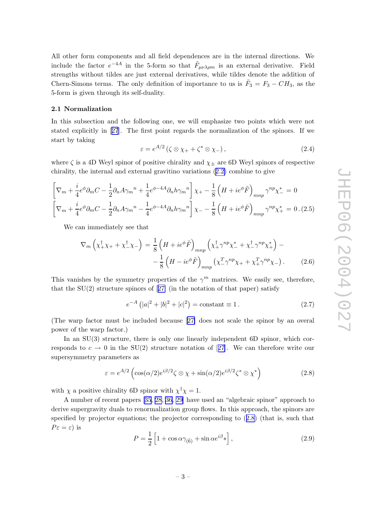<span id="page-3-0"></span>All other form components and all field dependences are in the internal directions. We include the factor  $e^{-4A}$  in the 5-form so that  $\tilde{F}_{\mu\nu\lambda\rho m}$  is an external derivative. Field strengths without tildes are just external derivatives, while tildes denote the addition of Chern-Simons terms. The only definition of importance to us is  $\tilde{F}_3 = F_3 - CH_3$ , as the 5-form is given through its self-dualit y .

#### 2.1 Normalization

In this subsection and the following one, we will emphasize two points which were not stated explicitly in [[27](#page-13-0)]. The first point regards the normalization of the spinors. If we start b y taking

$$
\varepsilon = e^{A/2} \left( \zeta \otimes \chi_+ + \zeta^* \otimes \chi_- \right), \tag{2.4}
$$

where  $\zeta$  is a 4D Weyl spinor of positive chirality and  $\chi_{\pm}$  are 6D Weyl spinors of respective chirality, the internal and external gravitino variations  $(2.2)$  $(2.2)$  $(2.2)$  combine to give

$$
\left[\nabla_m + \frac{i}{4}e^{\phi}\partial_m C - \frac{1}{2}\partial_n A\gamma_m{}^n + \frac{1}{4}e^{\phi - 4A}\partial_n h\gamma_m{}^n\right]\chi_+ - \frac{1}{8}\left(H + ie^{\phi}\tilde{F}\right)_{mnp}\gamma^{np}\chi_-^* = 0
$$
  

$$
\left[\nabla_m + \frac{i}{4}e^{\phi}\partial_m C - \frac{1}{2}\partial_n A\gamma_m{}^n - \frac{1}{4}e^{\phi - 4A}\partial_n h\gamma_m{}^n\right]\chi_- - \frac{1}{8}\left(H + ie^{\phi}\tilde{F}\right)_{mnp}\gamma^{np}\chi_+^* = 0. (2.5)
$$

We can immediately see that

$$
\nabla_m \left( \chi_+^{\dagger} \chi_+ + \chi_-^{\dagger} \chi_- \right) = \frac{1}{8} \left( H + ie^{\phi} \tilde{F} \right)_{mnp} \left( \chi_+^{\dagger} \gamma^{np} \chi_-^* + \chi_-^{\dagger} \gamma^{np} \chi_+^* \right) - \\ - \frac{1}{8} \left( H - ie^{\phi} \tilde{F} \right)_{mnp} \left( \chi_-^T \gamma^{np} \chi_+ + \chi_+^T \gamma^{np} \chi_- \right). \tag{2.6}
$$

This vanishes by the symmetry properties of the  $\gamma^m$  matrices. We easily see, therefore, that the SU(2) structure spinors of [[27](#page-13-0) ] (in the notation of that paper) satisfy

$$
e^{-A} (|a|^2 + |b|^2 + |c|^2) = \text{constant} \equiv 1. \tag{2.7}
$$

(The warp factor must b e included because [[27](#page-13-0) ] does not scale the spinor b y an o veral p o wer of the warp factor.)

In an SU(3) structure, there is only one linearly independent 6D spinor, which corresponds to  $c \to 0$  in the SU(2) structure notation of [[27](#page-13-0)]. We can therefore write our supersymmetry parameters as

$$
\varepsilon = e^{A/2} \left( \cos(\alpha/2) e^{i\beta/2} \zeta \otimes \chi + \sin(\alpha/2) e^{i\beta/2} \zeta^* \otimes \chi^* \right) \tag{2.8}
$$

with  $\chi$  a positive chirality 6D spinor with  $\chi^{\dagger}\chi = 1$ .

A number of recent papers [\[35](#page-13-0), [28](#page-13-0), [36](#page-13-0), [29](#page-13-0)] have used an "algebraic spinor" approach to deriv e supergravit y duals to renormalization group flows. In this approach, the spinors are specified by projector equations; the projector corresponding to  $(2.8)$  (that is, such that  $P\varepsilon = \varepsilon$ ) is

$$
P = \frac{1}{2} \left[ 1 + \cos \alpha \gamma_{(\hat{6})} + \sin \alpha e^{i\beta} * \right],
$$
\n(2.9)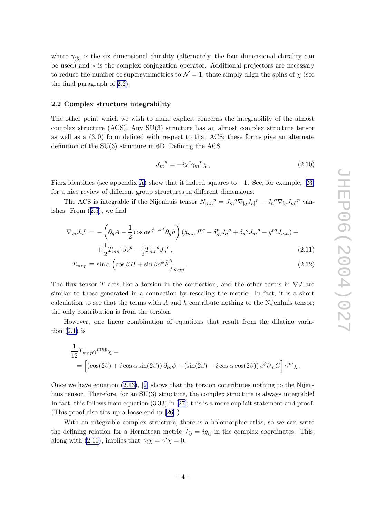<span id="page-4-0"></span>where  $\gamma_{(\hat{6})}$  is the six dimensional chirality (alternately, the four dimensional chirality can b e used) and ∗ is the complex conjugation operator. Additional projectors are necessary to reduce the number of supersymmetries to  $\mathcal{N} = 1$ ; these simply align the spins of  $\chi$  (see the final paragraph of 2.2).

#### 2.2 Complex structure integrabilit y

The other point which we wish to make explicit concerns the integrability of the almost complex structure (ACS). An y SU(3) structure has an almost complex structure tensor as well as a  $(3,0)$  form defined with respect to that ACS; these forms give an alternate definition of the SU(3) structure in 6D. Defining the ACS

$$
J_m{}^n = -i\chi^\dagger \gamma_m{}^n \chi\,,\tag{2.10}
$$

Fierz identities (see appendix [A](#page-11-0)) show that it indeed squares to  $-1$ . See, for example, [[23](#page-13-0)] for a nice review of differen t group structures in differen t dimensions.

The ACS is integrable if the Nijenhuis tensor  $N_{mn}{}^p = J_m{}^q \nabla_{[q} J_{n]}{}^p - J_n{}^q \nabla_{[q} J_{m]}{}^p$  vanishes. From ([2.5](#page-3-0)), we find

$$
\nabla_m J_n{}^p = -\left(\partial_q A - \frac{1}{2}\cos\alpha e^{\phi - 4A}\partial_q h\right) \left(g_{mn}J^{pq} - \delta_m^p J_n{}^q + \delta_n^q J_m{}^p - g^{pq} J_{mn}\right) +
$$

$$
+ \frac{1}{2}T_{mn}{}^r J_r{}^p - \frac{1}{2}T_{mr}{}^p J_n{}^r ,\tag{2.11}
$$

$$
T_{mnp} \equiv \sin \alpha \left( \cos \beta H + \sin \beta e^{\phi} \tilde{F} \right)_{mnp} . \tag{2.12}
$$

The flux tensor T acts like a torsion in the connection, and the other terms in  $\nabla J$  are similar to those generated in a connection b y rescaling the metric. In fact, it is a short calculation to see that the terms with  $A$  and  $h$  contribute nothing to the Nijenhuis tensor; the only contribution is from the torsion.

Ho wever, one linear combination of equations that result from the dilatino variation  $(2.1)$  $(2.1)$  is

$$
\frac{1}{12}T_{mnp}\gamma^{mnp}\chi =
$$
\n
$$
= \left[ \left( \cos(2\beta) + i \cos \alpha \sin(2\beta) \right) \partial_m \phi + \left( \sin(2\beta) - i \cos \alpha \cos(2\beta) \right) e^{\phi} \partial_m C \right] \gamma^m \chi.
$$

Once we have equation  $(2.13)$  $(2.13)$  $(2.13)$ ,  $[2]$  shows that the torsion contributes nothing to the Nijenhuis tensor. Therefore, for an  $SU(3)$  structure, the complex structure is always integrable! In fact, this follows from equation  $(3.33)$  in  $[27]$  $[27]$ ; this is a more explicit statement and proof. (This proof also ties up a loose end in [[26\]](#page-13-0).)

With an integrable complex structure, there is a holomorphic atlas, so we can write the defining relation for a Hermitean metric  $J_{i\bar{j}} = ig_{i\bar{j}}$  in the complex coordinates. This, along with (2.10), implies that  $\gamma_i \chi = \gamma^{\bar{i}} \chi = 0$ .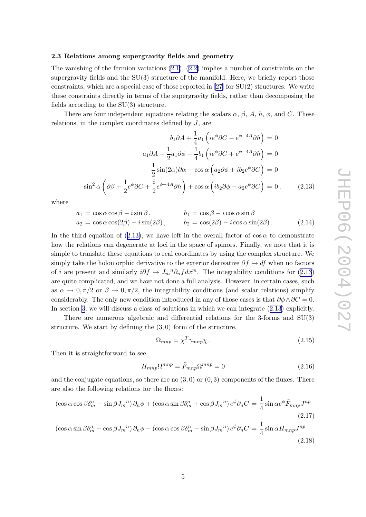#### <span id="page-5-0"></span>2.3 Relations among supergravit y fields and geometry

The vanishing of the fermion variations ([2.1\)](#page-2-0), ([2.2](#page-2-0) ) implies a num ber of constraints on the supergravity fields and the  $SU(3)$  structure of the manifold. Here, we briefly report those constraints, whic h are a special case of those reported in [[27](#page-13-0) ] for SU(2) structures. We write these constraints directly in terms of the supergravit y fields, rather than decomposing the fields according to the SU(3) structure.

There are four independent equations relating the scalars  $\alpha$ ,  $\beta$ ,  $A$ ,  $h$ ,  $\phi$ , and C. These relations, in the complex coordinates defined by  $J$ , are

$$
b_1 \partial A + \frac{1}{4} a_1 \left( i e^{\phi} \partial C - e^{\phi - 4A} \partial h \right) = 0
$$
  

$$
a_1 \partial A - \frac{1}{2} a_1 \partial \phi - \frac{1}{4} b_1 \left( i e^{\phi} \partial C + e^{\phi - 4A} \partial h \right) = 0
$$
  

$$
\frac{1}{2} \sin(2\alpha) \partial \alpha - \cos \alpha \left( a_2 \partial \phi + i b_2 e^{\phi} \partial C \right) = 0
$$
  

$$
\sin^2 \alpha \left( \partial \beta + \frac{1}{2} e^{\phi} \partial C + \frac{i}{2} e^{\phi - 4A} \partial h \right) + \cos \alpha \left( i b_2 \partial \phi - a_2 e^{\phi} \partial C \right) = 0, \qquad (2.13)
$$

where

$$
a_1 = \cos \alpha \cos \beta - i \sin \beta, \qquad b_1 = \cos \beta - i \cos \alpha \sin \beta
$$
  
\n
$$
a_2 = \cos \alpha \cos(2\beta) - i \sin(2\beta), \qquad b_2 = \cos(2\beta) - i \cos \alpha \sin(2\beta). \qquad (2.14)
$$

In the third equation of (2.13), we have left in the overall factor of  $\cos \alpha$  to demonstrate how the relations can degenerate at loci in the space of spinors. Finally, we note that it is simple to translate these equations to real coordinates by using the complex structure. We simply take the holomorphic derivative to the exterior derivative  $\partial f \to df$  when no factors of *i* are present and similarly  $i\partial f \to J_m{}^n \partial_n f dx^m$ . The integrability conditions for (2.13) are quite complicated, and w e hav e not done a full analysis. Ho wever, in certain cases, suc h as  $\alpha \to 0, \pi/2$  or  $\beta \to 0, \pi/2$ , the integrability conditions (and scalar relations) simplify considerably. The only new condition introduced in any of those cases is that  $\partial \phi \wedge \partial C = 0$ . In section [3](#page-7-0), we will discuss a class of solutions in which we can integrate  $(2.13)$  explicitly.

There are numerous algebraic and differential relations for the 3-forms and SU(3) structure. We start by defining the  $(3,0)$  form of the structure,

$$
\Omega_{mnp} = \chi^T \gamma_{mnp} \chi \,. \tag{2.15}
$$

Then it is straightforward to see

$$
H_{mnp}\Omega^{mnp} = \tilde{F}_{mnp}\Omega^{mnp} = 0\tag{2.16}
$$

and the conjugate equations, so there are no  $(3,0)$  or  $(0,3)$  components of the fluxes. There are also the following relations for the fluxes:

$$
\left(\cos\alpha\cos\beta\delta_m^n - \sin\beta J_m{}^n\right)\partial_n\phi + \left(\cos\alpha\sin\beta\delta_m^n + \cos\beta J_m{}^n\right)e^{\phi}\partial_nC = \frac{1}{4}\sin\alpha e^{\phi}\tilde{F}_{mnp}J^{np}
$$
\n
$$
\left(\cos\alpha\sin\beta\delta_m^n + \cos\beta J_m{}^n\right)\partial_n\phi - \left(\cos\alpha\cos\beta\delta_m^n - \sin\beta J_m{}^n\right)e^{\phi}\partial_nC = \frac{1}{4}\sin\alpha H_{mnp}J^{np}
$$
\n
$$
\left(\cos\alpha\sin\beta\delta_m^n + \cos\beta J_m{}^n\right)\partial_n\phi - \left(\cos\alpha\cos\beta\delta_m^n - \sin\beta J_m{}^n\right)e^{\phi}\partial_nC = \frac{1}{4}\sin\alpha H_{mnp}J^{np}
$$
\n
$$
\left(\frac{2.18}{2.18}\right)^{1/2}
$$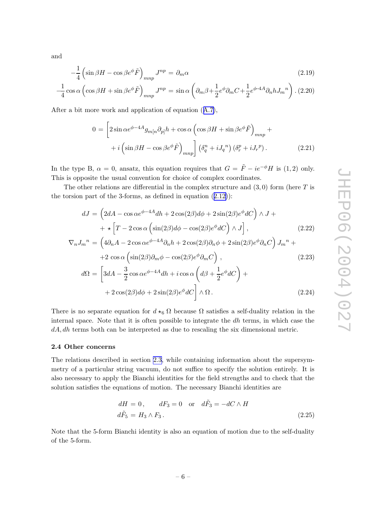<span id="page-6-0"></span>and

$$
-\frac{1}{4}\left(\sin\beta H - \cos\beta e^{\phi}\tilde{F}\right)_{mnp}J^{np} = \partial_m\alpha\tag{2.19}
$$

$$
-\frac{1}{4}\cos\alpha\left(\cos\beta H + \sin\beta e^{\phi}\tilde{F}\right)_{mnp}J^{np} = \sin\alpha\left(\partial_m\beta + \frac{1}{2}e^{\phi}\partial_mC + \frac{1}{2}e^{\phi-4A}\partial_nhJ_m{}^n\right). (2.20)
$$

After a bit more work and application of equation ([A.7\)](#page-12-0),

$$
0 = \left[2\sin\alpha e^{\phi - 4A}g_{m[n}\partial_{p]}h + \cos\alpha\left(\cos\beta H + \sin\beta e^{\phi}\tilde{F}\right)_{mnp} + i\left(\sin\beta H - \cos\beta e^{\phi}\tilde{F}\right)_{mnp}\right] \left(\delta_q^n + iJ_q^n\right)\left(\delta_r^p + iJ_r^p\right). \tag{2.21}
$$

In the type B,  $\alpha = 0$ , ansatz, this equation requires that  $G = \tilde{F} - ie^{-\phi}H$  is (1,2) only. This is opposite the usual con vention for choice of complex coordinates.

The other relations are differential in the complex structure and  $(3,0)$  form (here T is the torsion part of the 3-forms, as defined in equation ([2.12\)](#page-4-0)):

$$
dJ = \left(2dA - \cos\alpha e^{\phi - 4A}dh + 2\cos(2\beta)d\phi + 2\sin(2\beta)e^{\phi}dC\right)\wedge J +
$$

$$
+ \star \left[T - 2\cos\alpha\left(\sin(2\beta)d\phi - \cos(2\beta)e^{\phi}dC\right)\wedge J\right],
$$
(2.22)  

$$
{}_{n}J_{m}{}^{n} = \left(4\partial_{n}A - 2\cos\alpha e^{\phi - 4A}\partial_{n}h + 2\cos(2\beta)\partial_{n}\phi + 2\sin(2\beta)e^{\phi}\partial_{n}C\right)J_{m}{}^{n} +
$$

$$
\begin{aligned} \nabla_n J_m{}^n &= \left( 4\partial_n A - 2\cos\alpha e^{\gamma - 2\alpha}\partial_n h + 2\cos(2\beta)\partial_n \phi + 2\sin(2\beta)e^{\gamma}\partial_n C \right) J_m{}^n + \\ \n&\quad + 2\cos\alpha \left( \sin(2\beta)\partial_m \phi - \cos(2\beta)e^{\phi}\partial_m C \right), \n\end{aligned} \tag{2.23}
$$

$$
d\Omega = \left[ 3dA - \frac{3}{2}\cos\alpha e^{\phi - 4A}dh + i\cos\alpha \left( d\beta + \frac{1}{2}e^{\phi}dC \right) + \right. \\ + 2\cos(2\beta)d\phi + 2\sin(2\beta)e^{\phi}dC \right] \wedge \Omega \,. \tag{2.24}
$$

There is no separate equation for  $d \star_6 \Omega$  because  $\Omega$  satisfies a self-duality relation in the internal space. Note that it is often possible to integrate the dh terms, in whic h case the dA, dh terms both can b e interpreted as due to rescaling the six dimensional metric.

#### 2.4 Other concerns

The relations described in section [2.3](#page-5-0) , while containing information about the supersymmetry of a particular string vacuum, do not suffice to specify the solution entirely. It is also necessary to apply the Bianchi identities for the field strengths and to chec k that the solution satisfies the equations of motion. The necessary Bianchi identities are

$$
dH = 0, \qquad dF_3 = 0 \quad \text{or} \quad d\tilde{F}_3 = -dC \wedge H
$$
  

$$
d\tilde{F}_5 = H_3 \wedge F_3.
$$
 (2.25)

Note that the 5-form Bianchi identity is also an equation of motion due to the self-duality of the 5-form.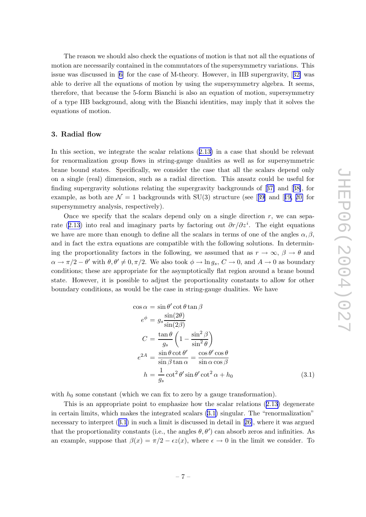<span id="page-7-0"></span>The reason w e should also chec k the equations of motion is that not all the equations of motion are necessarily contained in the commutators of the supersymmetry variations. This issue was discussed in [[6](#page-12-0) ] for the case of M-theory . Ho wever, in IIB supergravit y , [[32](#page-13-0) ] was able to deriv e all the equations of motion b y using the supersymmetry algebra. It seems, therefore, that because the 5-form Bianchi is also an equation of motion, supersymmetry of a typ e IIB background, along with the Bianchi identities, may imply that it solves the equations of motion.

## 3. Radial flo w

In this section, we integrate the scalar relations  $(2.13)$  $(2.13)$  $(2.13)$  in a case that should be relevant for renormalization group flows in string-gauge dualities as well as for supersymmetric brane bound states. Specifically , w e consider the case that all the scalars depend only on a single (real) dimension, suc h as a radial direction. This ansatz could b e useful for finding supergravity solutions relating the supergravity backgrounds of [[37](#page-13-0)] and [[38\]](#page-14-0), for example, as both are  $\mathcal{N}=1$  backgrounds with SU(3) structure (see [[39](#page-14-0)] and [[19](#page-13-0), [20](#page-13-0)] for supersymmetry analysis, respectively).

Once we specify that the scalars depend only on a single direction  $r$ , we can sepa-rate ([2.13](#page-5-0)) into real and imaginary parts by factoring out  $\partial r/\partial z^i$ . The eight equations we have are more than enough to define all the scalars in terms of one of the angles  $\alpha, \beta$ , and in fact the extra equations are compatible with the following solutions. In determining the proportionality factors in the following, we assumed that as  $r \to \infty$ ,  $\beta \to \theta$  and  $\alpha \to \pi/2 - \theta'$  with  $\theta, \theta' \neq 0, \pi/2$ . We also took  $\phi \to \ln g_s$ ,  $C \to 0$ , and  $A \to 0$  as boundary conditions; these are appropriate for the asymptotically flat region around a brane bound state. However, it is possible to adjust the proportionality constants to allow for other boundary conditions, as would b e the case in string-gauge dualities. We hav e

$$
\cos \alpha = \sin \theta' \cot \theta \tan \beta
$$
  
\n
$$
e^{\phi} = g_s \frac{\sin(2\theta)}{\sin(2\beta)}
$$
  
\n
$$
C = \frac{\tan \theta}{g_s} \left(1 - \frac{\sin^2 \beta}{\sin^2 \theta}\right)
$$
  
\n
$$
e^{2A} = \frac{\sin \theta \cot \theta'}{\sin \beta \tan \alpha} = \frac{\cos \theta' \cos \theta}{\sin \alpha \cos \beta}
$$
  
\n
$$
h = \frac{1}{g_s} \cot^2 \theta' \sin \theta' \cot^2 \alpha + h_0
$$
\n(3.1)

with  $h_0$  some constant (which we can fix to zero by a gauge transformation).

This is an appropriate poin t to emphasize ho w the scalar relations ([2.13](#page-5-0) ) degenerate in certain limits, whic h makes the integrated scalars (3.1 ) singular. The "renormalization" necessary to interpret  $(3.1)$  in such a limit is discussed in detail in [[26\]](#page-13-0), where it was argued that the proportionality constants (i.e., the angles  $\theta$ ,  $\theta'$ ) can absorb zeros and infinities. As an example, suppose that  $\beta(x) = \pi/2 - \epsilon z(x)$ , where  $\epsilon \to 0$  in the limit we consider. To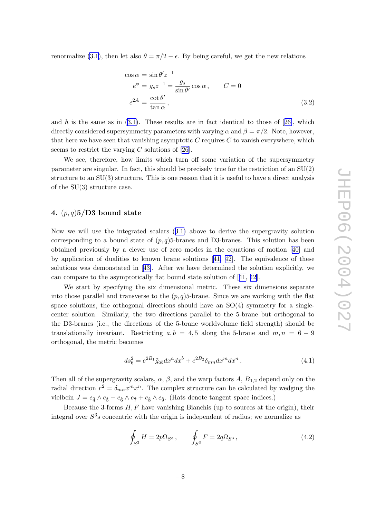<span id="page-8-0"></span>renormalize [\(3.1](#page-7-0)), then let also  $\theta = \pi/2 - \epsilon$ . By being careful, we get the new relations

$$
\cos \alpha = \sin \theta' z^{-1}
$$
  
\n
$$
e^{\phi} = g_s z^{-1} = \frac{g_s}{\sin \theta'} \cos \alpha, \qquad C = 0
$$
  
\n
$$
e^{2A} = \frac{\cot \theta'}{\tan \alpha}, \qquad (3.2)
$$

and h is the same as in  $(3.1)$ . These results are in fact identical to those of [[26\]](#page-13-0), which directly considered supersymmetry parameters with varying  $\alpha$  and  $\beta = \pi/2$ . Note, however, that here we have seen that vanishing asymptotic  $C$  requires  $C$  to vanish everywhere, which seems to restrict the varying C solutions of  $[26]$  $[26]$ .

We see, therefore, ho w limits whic h turn off some variation of the supersymmetry parameter are singular. In fact, this should b e precisely true for the restriction of an SU(2) structure to an SU(3) structure. This is one reason that it is useful to hav e a direct analysis of the SU(3) structure case.

## 4.  $(p, q)$ 5/D3 bound state

Now we will use the integrated scalars  $(3.1)$  $(3.1)$  $(3.1)$  above to derive the supergravity solution corresponding to a bound state of  $(p, q)$ 5-branes and D3-branes. This solution has been obtained previously b y a clever use of zero modes in the equations of motion [[40](#page-14-0) ] and b y application of dualities to known brane solutions [[41](#page-14-0) , [42\]](#page-14-0). The equivalence of these solutions was demonstated in [[43\]](#page-14-0). After we have determined the solution explicitly, we can compare to the asymptotically flat bound state solution of [[41](#page-14-0) , [42\]](#page-14-0).

We start b y specifying the six dimensional metric. These six dimensions separate into those parallel and transverse to the  $(p, q)$ 5-brane. Since we are working with the flat space solutions, the orthogonal directions should hav e an SO(4) symmetry for a singlecenter solution. Similarly, the two directions parallel to the 5-brane but orthogonal to the D3-branes (i.e., the directions of the 5-brane worldvolume field strength) should b e translationally invariant. Restricting  $a, b = 4, 5$  along the 5-brane and  $m, n = 6 - 9$ orthogonal, the metric becomes

$$
ds_6^2 = e^{2B_1} \tilde{g}_{ab} dx^a dx^b + e^{2B_2} \delta_{mn} dx^m dx^n.
$$
 (4.1)

Then all of the supergravity scalars,  $\alpha$ ,  $\beta$ , and the warp factors A,  $B_{1,2}$  depend only on the radial direction  $r^2 = \delta_{mn} x^m x^n$ . The complex structure can be calculated by wedging the vielbein  $J = e_{\hat{4}} \wedge e_{\hat{5}} + e_{\hat{6}} \wedge e_{\hat{7}} + e_{\hat{8}} \wedge e_{\hat{9}}$ . (Hats denote tangent space indices.)

Because the 3-forms  $H, F$  have vanishing Bianchis (up to sources at the origin), their integral over  $S^3$ s concentric with the origin is independent of radius; we normalize as

$$
\oint_{S^3} H = 2p\Omega_{S^3} , \qquad \oint_{S^3} F = 2q\Omega_{S^3} , \qquad (4.2)
$$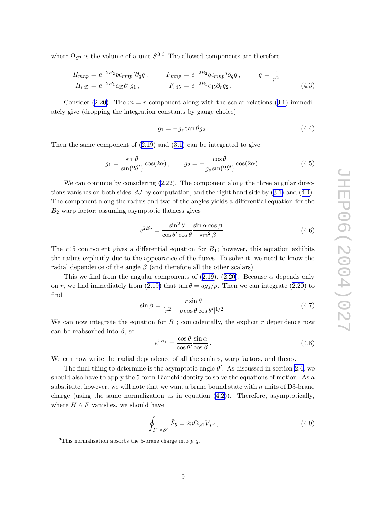<span id="page-9-0"></span>where  $\Omega_{S^3}$  is the volume of a unit  $S^3$ .<sup>3</sup> The allowed components are therefore

$$
H_{mnp} = e^{-2B_2} p \epsilon_{mnp}{}^q \partial_q g \,, \qquad F_{mnp} = e^{-2B_2} q \epsilon_{mnp}{}^q \partial_q g \,, \qquad g = \frac{1}{r^2}
$$
  
\n
$$
H_{r45} = e^{-2B_1} \epsilon_{45} \partial_r g_1 \,, \qquad F_{r45} = e^{-2B_1} \epsilon_{45} \partial_r g_2 \,.
$$
\n(4.3)

Consider ([2.20\)](#page-6-0). The  $m = r$  component along with the scalar relations ([3.1](#page-7-0)) immediately give (dropping the integration constants by gauge choice)

$$
g_1 = -g_s \tan \theta g_2. \tag{4.4}
$$

Then the same component of  $(2.19)$  $(2.19)$  and  $(3.1)$  $(3.1)$  $(3.1)$  can be integrated to give

$$
g_1 = \frac{\sin \theta}{\sin(2\theta')} \cos(2\alpha), \qquad g_2 = -\frac{\cos \theta}{g_s \sin(2\theta')} \cos(2\alpha). \tag{4.5}
$$

We can continue by considering  $(2.22)$ . The component along the three angular directions vanishes on both sides,  $dJ$  by computation, and the right hand side by  $(3.1)$  $(3.1)$  and  $(4.4)$ . The componen t along the radius and t w o of the angles yields a differential equation for the B 2 warp factor; assuming asymptotic flatness gives

$$
e^{2B_2} = \frac{\sin^2 \theta}{\cos \theta' \cos \theta} \frac{\sin \alpha \cos \beta}{\sin^2 \beta}.
$$
 (4.6)

The  $r45$  component gives a differential equation for  $B_1$ ; however, this equation exhibits the radius explicitly due to the appearance of the fluxes. To solve it, we need to know the radial dependence of the angle  $\beta$  (and therefore all the other scalars).

This we find from the angular components of  $(2.19)$  $(2.19)$ ,  $(2.20)$  $(2.20)$ . Because  $\alpha$  depends only on r, we find immediately from  $(2.19)$  $(2.19)$  that  $\tan \theta = qg_s/p$ . Then we can integrate  $(2.20)$  $(2.20)$  $(2.20)$  to find

$$
\sin \beta = \frac{r \sin \theta}{[r^2 + p \cos \theta \cos \theta']^{1/2}}.
$$
\n(4.7)

We can now integrate the equation for  $B_1$ ; coincidentally, the explicit r dependence now can be reabsorbed into  $\beta$ , so

$$
e^{2B_1} = \frac{\cos \theta}{\cos \theta'} \frac{\sin \alpha}{\cos \beta}.
$$
 (4.8)

We can no w write the radial dependence of all the scalars, warp factors, and fluxes.

The final thing to determine is the asymptotic angle  $\theta'$ . As discussed in section [2.4](#page-6-0), we should also have to apply the 5-form Bianchi identity to solve the equations of motion. As a substitute, however, we will note that we want a brane bound state with  $n$  units of D3-brane charge (using the same normalization as in equation ([4.2\)](#page-8-0)). Therefore, asymptotically , where  $H \wedge F$  vanishes, we should have

$$
\oint_{T^2 \times S^3} \tilde{F}_5 = 2n\Omega_{S^3} V_{T^2},
$$
\n(4.9)

<sup>&</sup>lt;sup>3</sup>This normalization absorbs the 5-brane charge into  $p, q$ .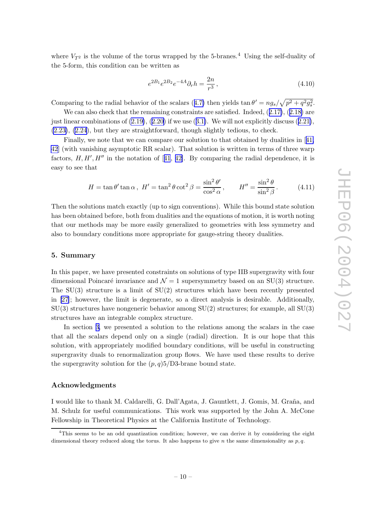<span id="page-10-0"></span>where  $V_{T^2}$  is the volume of the torus wrapped by the 5-branes.<sup>4</sup> Using the self-duality of the 5-form, this condition can b e written as

$$
e^{2B_1}e^{2B_2}e^{-4A}\partial_r h = \frac{2n}{r^3},\tag{4.10}
$$

Comparing to the radial behavior of the scalars ([4.7](#page-9-0)) then yields  $\tan \theta' = n g_s / \sqrt{p^2 + q^2 g_s^2}$ .

We can also check that the remaining constraints are satisfied. Indeed,  $(2.17)$  $(2.17)$ ,  $(2.18)$  $(2.18)$  $(2.18)$  are just linear combinations of  $(2.19)$ ,  $(2.20)$  $(2.20)$  $(2.20)$  if we use  $(3.1)$  $(3.1)$ . We will not explicitly discuss  $(2.21)$  $(2.21)$ , [\(2.23\)](#page-6-0), ([2.24](#page-6-0)), but they are straightforward, though slightly tedious, to check.

Finally, we note that we can compare our solution to that obtained by dualities in [[41](#page-14-0), [42](#page-14-0) ] (with vanishing asymptotic RR scalar). That solution is written in terms of three warp factors,  $H, H', H''$  in the notation of [[41](#page-14-0), [42\]](#page-14-0). By comparing the radial dependence, it is easy to see that

$$
H = \tan \theta' \tan \alpha \,, \ H' = \tan^2 \theta \cot^2 \beta = \frac{\sin^2 \theta'}{\cos^2 \alpha}, \qquad H'' = \frac{\sin^2 \theta}{\sin^2 \beta}.
$$
 (4.11)

Then the solutions matc h exactly (up to sign con ventions). While this bound state solution has been obtained before, both from dualities and the equations of motion, it is worth noting that our methods may b e more easily generalized to geometries with less symmetry and also to boundary conditions more appropriate for gauge-string theory dualities.

#### 5. Summary

In this paper, we have presented constraints on solutions of type IIB supergravity with four dimensional Poincaré invariance and  $\mathcal{N}=1$  supersymmetry based on an SU(3) structure. The SU(3) structure is a limit of SU(2) structures whic h hav e been recently presented in [\[27](#page-13-0)]; ho wever, the limit is degenerate, so a direct analysis is desirable. Additionally , SU(3) structures hav e nongeneric behavior among SU(2) structures; for example, all SU(3) structures hav e an integrable complex structure.

In section [3](#page-7-0), we presented a solution to the relations among the scalars in the case that all the scalars depend only on a single (radial) direction. It is our hop e that this solution, with appropriately modified boundary conditions, will b e useful in constructing supergravity duals to renormalization group flows. We have used these results to derive the supergravity solution for the  $(p, q)5/D3$ -brane bound state.

#### Acknowledgments

I would like to thank M. Caldarelli, G. Dall'Agata, J. Gauntlett, J. Gomis, M. Graña, and M. Sc hulz for useful communications. This work was supported b y the John A. McCone Fellowship in Theoretical Physics at the California Institute of Technology .

<sup>&</sup>lt;sup>4</sup>This seems to be an odd quantization condition; however, we can derive it by considering the eight dimensional theory reduced along the torus. It also happens to give n the same dimensionality as  $p, q$ .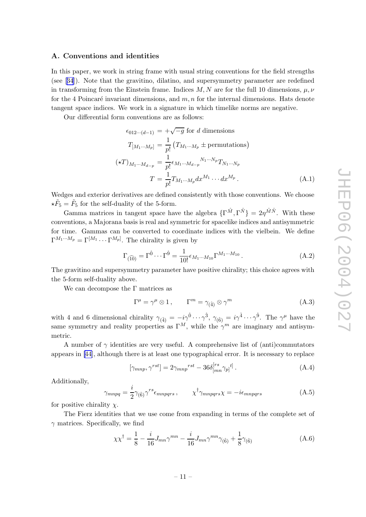## <span id="page-11-0"></span>A. Con ventions and identities

In this paper, we work in string frame with usual string conventions for the field strengths (see [[34](#page-13-0)]). Note that the gravitino, dilatino, and supersymmetry parameter are redefined in transforming from the Einstein frame. Indices  $M, N$  are for the full 10 dimensions,  $\mu, \nu$ for the 4 Poincaré invariant dimensions, and  $m, n$  for the internal dimensions. Hats denote tangen t space indices. We work in a signature in whic h timelik e norms are negative.

Our differential form con ventions are as follows:

$$
\epsilon_{012\cdots(d-1)} = +\sqrt{-g} \text{ for } d \text{ dimensions}
$$
  
\n
$$
T_{[M_1\cdots M_p]} = \frac{1}{p!} (T_{M_1\cdots M_p} \pm \text{permutations})
$$
  
\n
$$
(\star T)_{M_1\cdots M_{d-p}} = \frac{1}{p!} \epsilon_{M_1\cdots M_{d-p}} N_1 \cdots N_p T_{N_1\cdots N_p}
$$
  
\n
$$
T = \frac{1}{p!} T_{M_1\cdots M_p} dx^{M_1} \cdots dx^{M_p}.
$$
\n(A.1)

Wedges and exterior derivatives are defined consistently with those conventions. We choose  $\star \tilde{F}_5 = \tilde{F}_5$  for the self-duality of the 5-form.

Gamma matrices in tangent space have the algebra  $\{\Gamma^{\hat{M}}, \Gamma^{\hat{N}}\} = 2\eta^{\hat{M}\hat{N}}$ . With these con ventions, a Majorana basis is real and symmetric for spacelik e indices and antisymmetric for time. Gammas can b e con verted to coordinate indices with the vielbein. We define  $\Gamma^{M_1 \cdots M_p} = \Gamma^{[M_1} \cdots \Gamma^{M_p]}$ . The chirality is given by

$$
\Gamma_{(\widehat{10})} = \Gamma^{\hat{0}} \cdots \Gamma^{\hat{9}} = \frac{1}{10!} \epsilon_{M_1 \cdots M_{10}} \Gamma^{M_1 \cdots M_{10}}.
$$
\n(A.2)

The gravitino and supersymmetry parameter have positive chirality; this choice agrees with the 5-form self-duality above.

We can decompose the  $\Gamma$  matrices as

$$
\Gamma^{\mu} = \gamma^{\mu} \otimes 1, \qquad \Gamma^{m} = \gamma_{(\hat{4})} \otimes \gamma^{m}
$$
 (A.3)

with 4 and 6 dimensional chirality  $\gamma_{(4)} = -i\gamma^{\hat{0}} \cdots \gamma^{\hat{3}}, \gamma_{(\hat{6})} = i\gamma^{\hat{4}} \cdots \gamma^{\hat{9}}$ . The  $\gamma^{\mu}$  have the same symmetry and reality properties as  $\Gamma^M$ , while the  $\gamma^m$  are imaginary and antisymmetric.

A number of  $\gamma$  identities are very useful. A comprehensive list of (anti)commutators appears in [\[44](#page-14-0)], although there is at least one typographical error. It is necessary to replace

$$
[\gamma_{mnp}, \gamma^{rst}] = 2\gamma_{mnp}^{rst} - 36\delta_{[mn}^{[rs}\gamma_{p]}^{t]}.
$$
\n(A.4)

Additionally ,

$$
\gamma_{mnpq} = \frac{i}{2} \gamma_{(\hat{6})} \gamma^{rs} \epsilon_{mnpqrs} , \qquad \chi^{\dagger} \gamma_{mnpqrs} \chi = -i \epsilon_{mnpqrs} \tag{A.5}
$$

for positive chirality  $\chi$ .

The Fierz identities that w e use come from expanding in terms of the complete set of  $\gamma$  matrices. Specifically, we find

$$
\chi \chi^{\dagger} = \frac{1}{8} - \frac{i}{16} J_{mn} \gamma^{mn} - \frac{i}{16} J_{mn} \gamma^{mn} \gamma_{(\hat{6})} + \frac{1}{8} \gamma_{(\hat{6})}
$$
(A.6)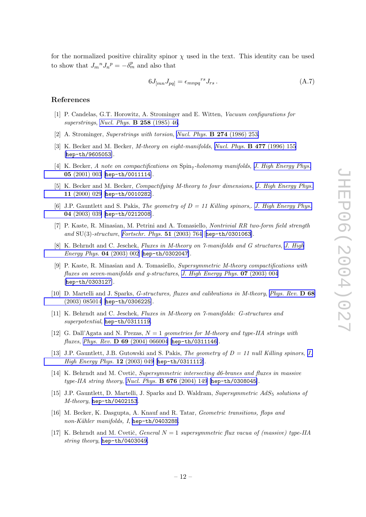<span id="page-12-0"></span>for the normalized positive chirality spinor  $\chi$  used in the text. This identity can be used to show that  $J_m{}^n J_n{}^p = -\delta_m^p$  and also that

$$
6J_{[mn}J_{pq]} = \epsilon_{mnpq}^{rs}J_{rs} \,. \tag{A.7}
$$

#### References

- [1] P . Candelas, G.T. Horowitz, A. Strominger and E. Witten, Vacuum configurations for superstrings, Nucl. Phys.  $\bf{B}$  258 [\(1985\)](http://www-spires.slac.stanford.edu/spires/find/hep/www?j=NUPHA%2CB258%2C46) 46.
- [2] A. Strominger, Superstrings with torsion, Nucl. Phys.  $\bf{B}$  274 [\(1986\)](http://www-spires.slac.stanford.edu/spires/find/hep/www?j=NUPHA%2CB274%2C253) 253.
- $[3]$  K. Becker and M. Becker, *M-theory on eight-manifolds*, *Nucl. Phys.* **B 477** [\(1996\)](http://www-spires.slac.stanford.edu/spires/find/hep/www?j=NUPHA%2CB477%2C155) 155 [[hep-th/9605053](http://xxx.lanl.gov/abs/hep-th/9605053)].
- [4] K. Becker, A note on compactifications on  $Spin_7$ -holonomy manifolds, J. High [Energy](http://jhep.sissa.it/stdsearch?paper=05%282001%29003) Phys. 05 [\(2001\)](http://jhep.sissa.it/stdsearch?paper=05%282001%29003) 003 [[hep-th/0011114](http://xxx.lanl.gov/abs/hep-th/0011114)].
- [5] K. Becker and M. Becker, *Compactifying M-theory to four dimensions*, *J. High [Energy](http://jhep.sissa.it/stdsearch?paper=11%282000%29029) Phys.* 11 [\(2000\)](http://jhep.sissa.it/stdsearch?paper=11%282000%29029) 029 [[hep-th/0010282](http://xxx.lanl.gov/abs/hep-th/0010282)].
- [6] J.P. Gauntlett and S. Pakis, *The geometry of*  $D = 11$  Killing spinors, *J. High [Energy](http://jhep.sissa.it/stdsearch?paper=04%282003%29039) Phys.* 04 [\(2003\)](http://jhep.sissa.it/stdsearch?paper=04%282003%29039) 039 [[hep-th/0212008](http://xxx.lanl.gov/abs/hep-th/0212008)].
- [7] P. Kaste, R. Minasian, M. Petrini and A. Tomasiello, Nontrivial RR two-form field strength and  $SU(3)$ -structure, [Fortschr.](http://www-spires.slac.stanford.edu/spires/find/hep/www?j=FPYKA%2C51%2C764) Phys. 51 (2003) 764 [[hep-th/0301063](http://xxx.lanl.gov/abs/hep-th/0301063)].
- [8] K. Behrndt and C. Jeschek, Fluxes in M-theory on 7-manifolds and G structures , J. [High](http://jhep.sissa.it/stdsearch?paper=04%282003%29002) *[Energy](http://jhep.sissa.it/stdsearch?paper=04%282003%29002) Phys.*  $04$   $(2003)$   $002$   $[hep-th/0302047]$  $[hep-th/0302047]$  $[hep-th/0302047]$ .
- [9] P . Kaste, R. Minasian and A. Tomasiello, Supersymmetric M-theory compactifications with fluxes on seven-manifolds and g-structures , J. High [Energy](http://jhep.sissa.it/stdsearch?paper=07%282003%29004) Phys. 07 (2003) 004 [[hep-th/0303127](http://xxx.lanl.gov/abs/hep-th/0303127)].
- [10] D. Martelli and J. Sparks, *G-structures, fluxes and calibrations in M-theory, [Phys.](http://www-spires.slac.stanford.edu/spires/find/hep/www?j=PHRVA%2CD68%2C085014) Rev.* D 68 (2003) [085014](http://www-spires.slac.stanford.edu/spires/find/hep/www?j=PHRVA%2CD68%2C085014) [[hep-th/0306225](http://xxx.lanl.gov/abs/hep-th/0306225)].
- [11] K. Behrndt and C. Jeschek, Fluxes in M-theory on 7-manifolds: G-structures and superpotential, [hep-th/0311119](http://xxx.lanl.gov/abs/hep-th/0311119).
- [12] G. Dall'Agata and N. Prezas,  $N = 1$  geometries for M-theory and type-IIA strings with  $fluxes, \ Phys. \ Rev. \ \mathbf{D}$  69  $(2004)$   $066004$   $[\texttt{hep-th}/0311146]$ .
- [13] [J.](http://jhep.sissa.it/stdsearch?paper=12%282003%29049)P. Gauntlett, J.B. Gutowski and S. Pakis, *The geometry of*  $D = 11$  null Killing spinors, J.  $High Energy Phys. 12 (2003) 049 [hep-th/0311112].$  $High Energy Phys. 12 (2003) 049 [hep-th/0311112].$  $High Energy Phys. 12 (2003) 049 [hep-th/0311112].$  $High Energy Phys. 12 (2003) 049 [hep-th/0311112].$  $High Energy Phys. 12 (2003) 049 [hep-th/0311112].$
- [14] K. Behrndt and M. Cvetič, Supersymmetric intersecting d6-branes and fluxes in massive type-IIA string theory, Nucl. Phys.  $\bf{B} 676$  [\(2004\)](http://www-spires.slac.stanford.edu/spires/find/hep/www?j=NUPHA%2CB676%2C149) 149 [[hep-th/0308045](http://xxx.lanl.gov/abs/hep-th/0308045)].
- [15] J.P. Gauntlett, D. Martelli, J. Sparks and D. Waldram, Supersymmetric AdS<sub>5</sub> solutions of M-theory, [hep-th/0402153](http://xxx.lanl.gov/abs/hep-th/0402153).
- [16] M. Bec ker, K. Dasgupta, A. Knauf and R. Tatar, Geometric transitions, flops and  $non-Kähler\ manifolds, I, hep-th/0403288.$  $non-Kähler\ manifolds, I, hep-th/0403288.$  $non-Kähler\ manifolds, I, hep-th/0403288.$
- [17] K. Behrndt and M. Cvetič, *General*  $N = 1$  supersymmetric flux vacua of (massive) type-IIA string theory, [hep-th/0403049](http://xxx.lanl.gov/abs/hep-th/0403049).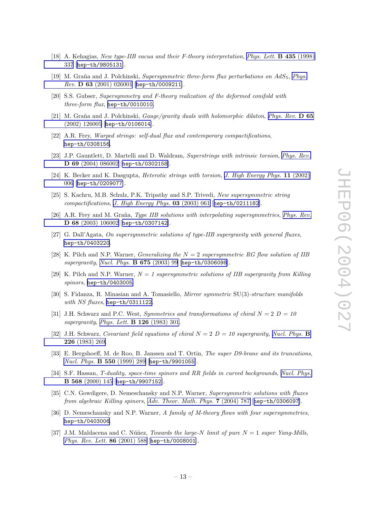- <span id="page-13-0"></span>[18] A. Kehagias, New type-IIB vacua and their F-theory interpretation, Phys. Lett. **B 435** [\(1998\)](http://www-spires.slac.stanford.edu/spires/find/hep/www?j=PHLTA%2CB435%2C337) [337](http://www-spires.slac.stanford.edu/spires/find/hep/www?j=PHLTA%2CB435%2C337) [[hep-th/9805131](http://xxx.lanl.gov/abs/hep-th/9805131)].
- [19] M. Graña and J. Polchinski, *Supersymmetric three-form flux perturbations on AdS*<sub>5</sub>, *[Phys.](http://www-spires.slac.stanford.edu/spires/find/hep/www?j=PHRVA%2CD63%2C026001)*  $Rev.$   $\bf{D} 63 (2001) 026001$  $\bf{D} 63 (2001) 026001$  [[hep-th/0009211](http://xxx.lanl.gov/abs/hep-th/0009211)].
- [20] S.S. Gubser, Supersymmetry and F-theory realization of the deformed conifold with  $three-form flux$ , [hep-th/0010010](http://xxx.lanl.gov/abs/hep-th/0010010).
- [21] M. Graña and J. Polchinski, *Gauge/gravity duals with holomorphic dilaton*, *[Phys.](http://www-spires.slac.stanford.edu/spires/find/hep/www?j=PHRVA%2CD65%2C126005) Rev.* **D** 65 (2002) [126005](http://www-spires.slac.stanford.edu/spires/find/hep/www?j=PHRVA%2CD65%2C126005) [[hep-th/0106014](http://xxx.lanl.gov/abs/hep-th/0106014)].
- [22] A.R. Frey, Warped strings: self-dual flux and contemporary compactifications, [hep-th/0308156](http://xxx.lanl.gov/abs/hep-th/0308156) .
- [23] J.P. Gauntlett, D. Martelli and D. Waldram, Superstrings with intrinsic torsion, [Phys.](http://www-spires.slac.stanford.edu/spires/find/hep/www?j=PHRVA%2CD69%2C086002) Rev. D 69 (2004) [086002](http://www-spires.slac.stanford.edu/spires/find/hep/www?j=PHRVA%2CD69%2C086002) [[hep-th/0302158](http://xxx.lanl.gov/abs/hep-th/0302158)].
- [24] K. Bec ker and K. Dasgupta, Heterotic strings with torsion , J. High [Energy](http://jhep.sissa.it/stdsearch?paper=11%282002%29006) Phys. 11 (2002) [006](http://jhep.sissa.it/stdsearch?paper=11%282002%29006) [[hep-th/0209077](http://xxx.lanl.gov/abs/hep-th/0209077)].
- [25] S. Kachru, M.B. Schulz, P.K. Tripathy and S.P. Trivedi, New supersymmetric string compactifications , J. High [Energy](http://jhep.sissa.it/stdsearch?paper=03%282003%29061) Phys. 03 (2003) 061 [[hep-th/0211182](http://xxx.lanl.gov/abs/hep-th/0211182)].
- [26] A.R. Frey and M. Graña, Type IIB solutions with interpolating supersymmetries, [Phys.](http://www-spires.slac.stanford.edu/spires/find/hep/www?j=PHRVA%2CD68%2C106002) Rev. D 68 (2003) [106002](http://www-spires.slac.stanford.edu/spires/find/hep/www?j=PHRVA%2CD68%2C106002) [[hep-th/0307142](http://xxx.lanl.gov/abs/hep-th/0307142)].
- [27] G. Dall'Agata, On supersymmetric solutions of type-IIB supergravity with general fluxes, [hep-th/0403220](http://xxx.lanl.gov/abs/hep-th/0403220) .
- [28] K. Pilch and N.P. Warner, *Generalizing the*  $N = 2$  supersymmetric RG flow solution of IIB supergravity, Nucl. Phys. **B 675** [\(2003\)](http://www-spires.slac.stanford.edu/spires/find/hep/www?j=NUPHA%2CB675%2C99) 99 [[hep-th/0306098](http://xxx.lanl.gov/abs/hep-th/0306098)].
- [29] K. Pilch and N.P. Warner,  $N = 1$  supersymmetric solutions of IIB supergravity from Killing spinors, [hep-th/0403005](http://xxx.lanl.gov/abs/hep-th/0403005).
- [30] S. Fidanza, R. Minasian and A. Tomasiello, *Mirror symmetric* SU(3)-structure manifolds with NS fluxes, [hep-th/0311122](http://xxx.lanl.gov/abs/hep-th/0311122).
- [31] J.H. Schwarz and P.C. West, *Symmetries and transformations of chiral*  $N = 2$   $D = 10$ supergravity, Phys. Lett.  $\bf{B}$  **126** [\(1983\)](http://www-spires.slac.stanford.edu/spires/find/hep/www?j=PHLTA%2CB126%2C301) 301.
- [32] J.H. Schwarz, Covariant field equations of chiral  $N = 2$  D = 10 supergravity, Nucl. [Phys.](http://www-spires.slac.stanford.edu/spires/find/hep/www?j=NUPHA%2CB226%2C269) B 226 [\(1983\)](http://www-spires.slac.stanford.edu/spires/find/hep/www?j=NUPHA%2CB226%2C269) 269 .
- [33] E. Bergshoeff, M. de Roo, B. Janssen and T. Ortin, The super D9-brane and its truncations, *Nucl. Phys.*  $\bf{B}$  550 [\(1999\)](http://www-spires.slac.stanford.edu/spires/find/hep/www?j=NUPHA%2CB550%2C289) 289 [[hep-th/9901055](http://xxx.lanl.gov/abs/hep-th/9901055)].
- [34] S.F. Hassan, T-duality, space-time spinors and RR fields in curved backgrounds, Nucl. [Phys.](http://www-spires.slac.stanford.edu/spires/find/hep/www?j=NUPHA%2CB568%2C145) B 568 [\(2000\)](http://www-spires.slac.stanford.edu/spires/find/hep/www?j=NUPHA%2CB568%2C145) 145 [[hep-th/9907152](http://xxx.lanl.gov/abs/hep-th/9907152)].
- [35] C.N. Gowdigere, D. Nemeschansky and N.P. Warner, Supersymmetric solutions with fluxes from algebraic Killing spinors, Adv. [Theor.](http://www-spires.slac.stanford.edu/spires/find/hep/www?j=00203%2C7%2C787) Math. Phys. 7 (2004) 787 [[hep-th/0306097](http://xxx.lanl.gov/abs/hep-th/0306097)].
- [36] D. Nemeschansky and N.P. Warner, A family of M-theory flows with four supersymmetries, [hep-th/0403006](http://xxx.lanl.gov/abs/hep-th/0403006) .
- [37] J.M. Maldacena and C. Núñez, Towards the large-N limit of pure  $N = 1$  super Yang-Mills, Phys. Rev. Lett. 86 [\(2001\)](http://www-spires.slac.stanford.edu/spires/find/hep/www?j=PRLTA%2C86%2C588) 588 [[hep-th/0008001](http://xxx.lanl.gov/abs/hep-th/0008001)].